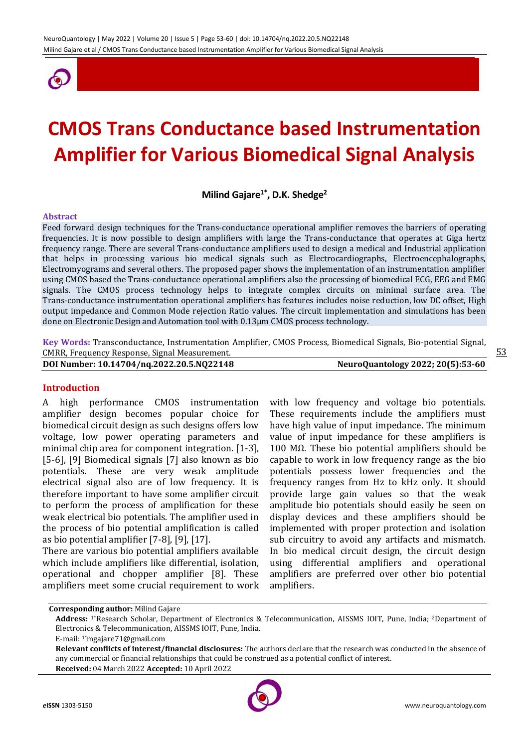

# **CMOS Trans Conductance based Instrumentation Amplifier for Various Biomedical Signal Analysis**

**Milind Gajare1\* , D.K. Shedge<sup>2</sup>**

#### **Abstract**

Feed forward design techniques for the Trans-conductance operational amplifier removes the barriers of operating frequencies. It is now possible to design amplifiers with large the Trans-conductance that operates at Giga hertz frequency range. There are several Trans-conductance amplifiers used to design a medical and Industrial application that helps in processing various bio medical signals such as Electrocardiographs, Electroencephalographs, Electromyograms and several others. The proposed paper shows the implementation of an instrumentation amplifier using CMOS based the Trans-conductance operational amplifiers also the processing of biomedical ECG, EEG and EMG signals. The CMOS process technology helps to integrate complex circuits on minimal surface area. The Trans-conductance instrumentation operational amplifiers has features includes noise reduction, low DC offset, High output impedance and Common Mode rejection Ratio values. The circuit implementation and simulations has been done on Electronic Design and Automation tool with 0.13µm CMOS process technology.

**Key Words:** Transconductance, Instrumentation Amplifier, CMOS Process, Biomedical Signals, Bio-potential Signal, CMRR, Frequency Response, Signal Measurement. **DOI Number: 10.14704/nq.2022.20.5.NQ22148 NeuroQuantology 2022; 20(5):53-60**

## **Introduction**

A high performance CMOS instrumentation amplifier design becomes popular choice for biomedical circuit design as such designs offers low voltage, low power operating parameters and minimal chip area for component integration. [1-3], [5-6], [9] Biomedical signals [7] also known as bio potentials. These are very weak amplitude electrical signal also are of low frequency. It is therefore important to have some amplifier circuit to perform the process of amplification for these weak electrical bio potentials. The amplifier used in the process of bio potential amplification is called as bio potential amplifier [7-8], [9], [17].

There are various bio potential amplifiers available which include amplifiers like differential, isolation, operational and chopper amplifier [8]. These amplifiers meet some crucial requirement to work with low frequency and voltage bio potentials. These requirements include the amplifiers must have high value of input impedance. The minimum value of input impedance for these amplifiers is 100 M $Ω$ . These bio potential amplifiers should be capable to work in low frequency range as the bio potentials possess lower frequencies and the frequency ranges from Hz to kHz only. It should provide large gain values so that the weak amplitude bio potentials should easily be seen on display devices and these amplifiers should be implemented with proper protection and isolation sub circuitry to avoid any artifacts and mismatch. In bio medical circuit design, the circuit design using differential amplifiers and operational amplifiers are preferred over other bio potential amplifiers.



**Corresponding author:** Milind Gajare

**Address:** 1\*Research Scholar, Department of Electronics & Telecommunication, AISSMS IOIT, Pune, India; 2Department of Electronics & Telecommunication, AISSMS IOIT, Pune, India.

E-mail: 1\*mgajare71@gmail.com

**Relevant conflicts of interest/financial disclosures:** The authors declare that the research was conducted in the absence of any commercial or financial relationships that could be construed as a potential conflict of interest. **Received:** 04 March 2022 **Accepted:** 10 April 2022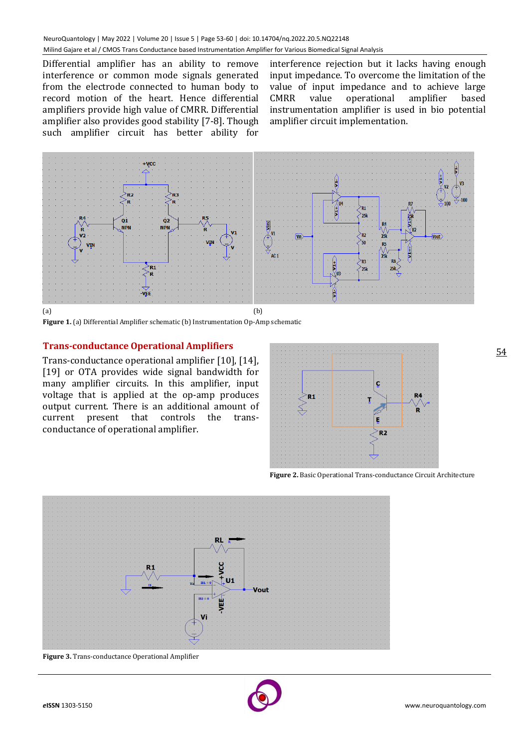Differential amplifier has an ability to remove interference or common mode signals generated from the electrode connected to human body to record motion of the heart. Hence differential amplifiers provide high value of CMRR. Differential amplifier also provides good stability [7-8]. Though such amplifier circuit has better ability for

interference rejection but it lacks having enough input impedance. To overcome the limitation of the value of input impedance and to achieve large CMRR value operational amplifier based instrumentation amplifier is used in bio potential amplifier circuit implementation.



**Figure 1.** (a) Differential Amplifier schematic (b) Instrumentation Op-Amp schematic

## **Trans-conductance Operational Amplifiers**

Trans-conductance operational amplifier [10], [14], [19] or OTA provides wide signal bandwidth for many amplifier circuits. In this amplifier, input voltage that is applied at the op-amp produces output current. There is an additional amount of current present that controls the transconductance of operational amplifier.



**Figure 2.** Basic Operational Trans-conductance Circuit Architecture



**Figure 3.** Trans-conductance Operational Amplifier

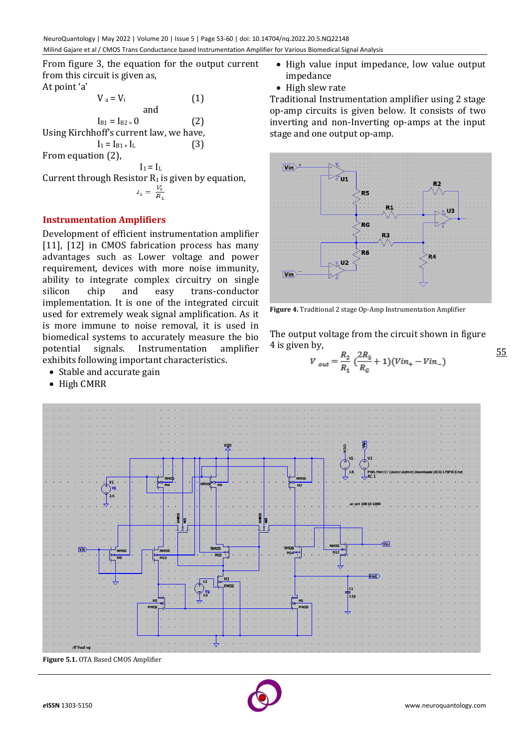From figure 3, the equation for the output current from this circuit is given as,

At point 'a'

$$
V_a = V_i
$$
 (1)  
and  

$$
I_{B1} = I_{B2=0}
$$
 (2)  
Using Kirchhoff's current law, we have,  

$$
I_1 = I_{B1+}I_L
$$
 (3)  
From equation (2),  

$$
I_1 = I_L
$$
  
Current through Resistance R<sub>1</sub> is given by equation,

 $I_1 = \frac{V_i}{R_1}$ 

# **Instrumentation Amplifiers**

Development of efficient instrumentation amplifier [11], [12] in CMOS fabrication process has many advantages such as Lower voltage and power requirement, devices with more noise immunity, ability to integrate complex circuitry on single silicon chip and easy trans-conductor implementation. It is one of the integrated circuit used for extremely weak signal amplification. As it is more immune to noise removal, it is used in biomedical systems to accurately measure the bio potential signals. Instrumentation amplifier exhibits following important characteristics.

- Stable and accurate gain
- High CMRR
- High value input impedance, low value output impedance
- High slew rate

Traditional Instrumentation amplifier using 2 stage op-amp circuits is given below. It consists of two inverting and non-Inverting op-amps at the input stage and one output op-amp.



**Figure 4.** Traditional 2 stage Op-Amp Instrumentation Amplifier

The output voltage from the circuit shown in figure 4 is given by,

$$
V_{out} = \frac{R_2}{R_1} \left( \frac{2R_5}{R_G} + 1 \right) (Vin_+ - Vin_-)
$$



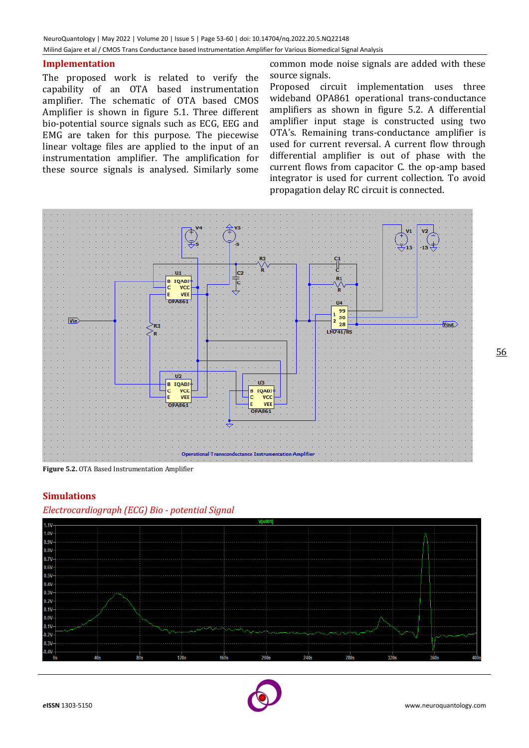## **Implementation**

The proposed work is related to verify the capability of an OTA based instrumentation amplifier. The schematic of OTA based CMOS Amplifier is shown in figure 5.1. Three different bio-potential source signals such as ECG, EEG and EMG are taken for this purpose. The piecewise linear voltage files are applied to the input of an instrumentation amplifier. The amplification for these source signals is analysed. Similarly some

common mode noise signals are added with these source signals.

Proposed circuit implementation uses three wideband OPA861 operational trans-conductance amplifiers as shown in figure 5.2. A differential amplifier input stage is constructed using two OTA's. Remaining trans-conductance amplifier is used for current reversal. A current flow through differential amplifier is out of phase with the current flows from capacitor C. the op-amp based integrator is used for current collection. To avoid propagation delay RC circuit is connected.



**Figure 5.2.** OTA Based Instrumentation Amplifier

## **Simulations**





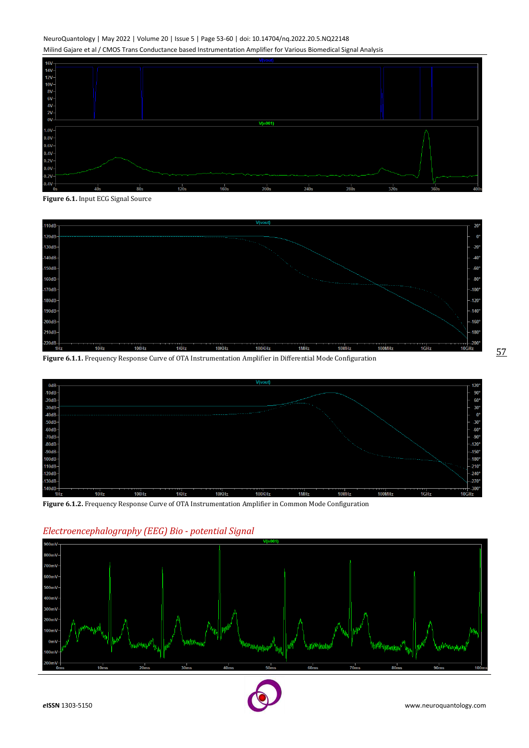#### NeuroQuantology | May 2022 | Volume 20 | Issue 5 | Page 53-60 | doi: 10.14704/nq.2022.20.5.NQ22148 Milind Gajare et al / CMOS Trans Conductance based Instrumentation Amplifier for Various Biomedical Signal Analysis



**Figure 6.1.** Input ECG Signal Source



**Figure 6.1.1.** Frequency Response Curve of OTA Instrumentation Amplifier in Differential Mode Configuration



**Figure 6.1.2.** Frequency Response Curve of OTA Instrumentation Amplifier in Common Mode Configuration



## *Electroencephalography (EEG) Bio - potential Signal*

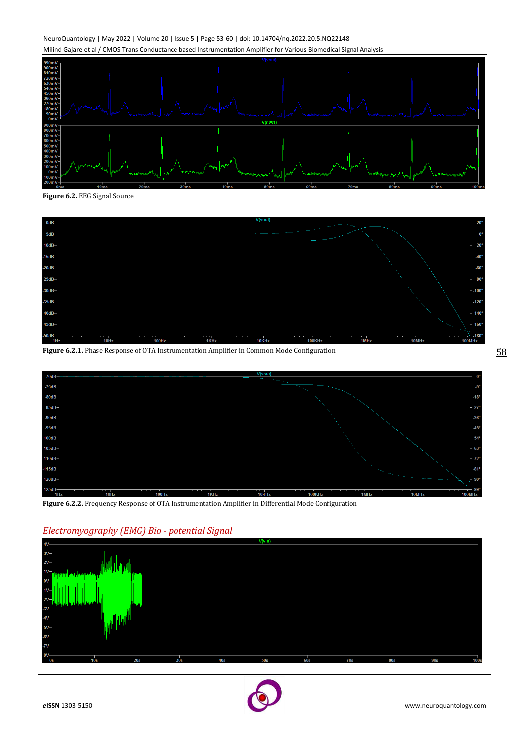#### NeuroQuantology | May 2022 | Volume 20 | Issue 5 | Page 53-60 | doi: 10.14704/nq.2022.20.5.NQ22148 Milind Gajare et al / CMOS Trans Conductance based Instrumentation Amplifier for Various Biomedical Signal Analysis



**Figure 6.2.** EEG Signal Source



**Figure 6.2.1.** Phase Response of OTA Instrumentation Amplifier in Common Mode Configuration



**Figure 6.2.2.** Frequency Response of OTA Instrumentation Amplifier in Differential Mode Configuration



## *Electromyography (EMG) Bio - potential Signal*



58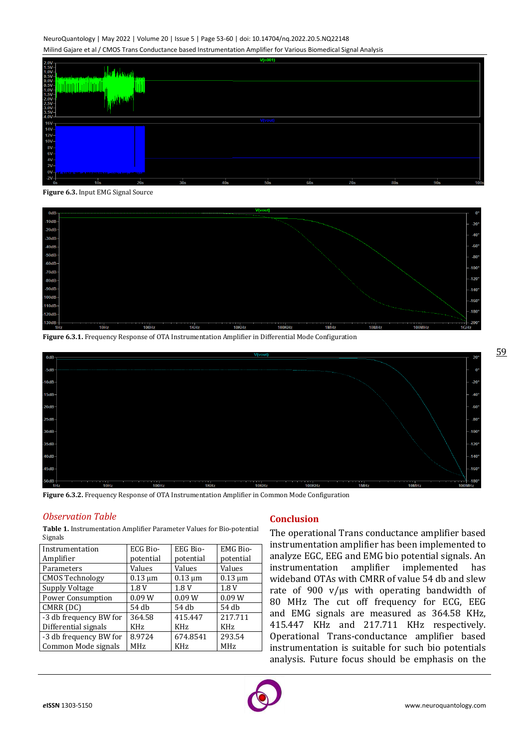#### NeuroQuantology | May 2022 | Volume 20 | Issue 5 | Page 53-60 | doi: 10.14704/nq.2022.20.5.NQ22148 Milind Gajare et al / CMOS Trans Conductance based Instrumentation Amplifier for Various Biomedical Signal Analysis



**Figure 6.3.** Input EMG Signal Source



**Figure 6.3.1.** Frequency Response of OTA Instrumentation Amplifier in Differential Mode Configuration



**Figure 6.3.2.** Frequency Response of OTA Instrumentation Amplifier in Common Mode Configuration

#### *Observation Table*

**Table 1.** Instrumentation Amplifier Parameter Values for Bio-potential Signals

| Instrumentation          | ECG Bio-     | EEG Bio-     | <b>EMG Bio-</b> |
|--------------------------|--------------|--------------|-----------------|
| Amplifier                | potential    | potential    | potential       |
| Parameters               | Values       | Values       | Values          |
| <b>CMOS Technology</b>   | $0.13 \mu m$ | $0.13 \mu m$ | $0.13 \mu m$    |
| Supply Voltage           | 1.8V         | 1.8 V        | 1.8V            |
| <b>Power Consumption</b> | 0.09W        | 0.09W        | 0.09W           |
| CMRR (DC)                | 54 db        | 54 db        | 54 db           |
| -3 db frequency BW for   | 364.58       | 415.447      | 217.711         |
| Differential signals     | <b>KHz</b>   | <b>KHz</b>   | KH <sub>z</sub> |
| -3 db frequency BW for   | 8.9724       | 674.8541     | 293.54          |
| Common Mode signals      | <b>MHz</b>   | <b>KHz</b>   | <b>MHz</b>      |

## **Conclusion**

The operational Trans conductance amplifier based instrumentation amplifier has been implemented to analyze EGC, EEG and EMG bio potential signals. An instrumentation amplifier implemented has wideband OTAs with CMRR of value 54 db and slew rate of 900 v/µs with operating bandwidth of 80 MHz The cut off frequency for ECG, EEG and EMG signals are measured as 364.58 KHz, 415.447 KHz and 217.711 KHz respectively. Operational Trans-conductance amplifier based instrumentation is suitable for such bio potentials analysis. Future focus should be emphasis on the

59